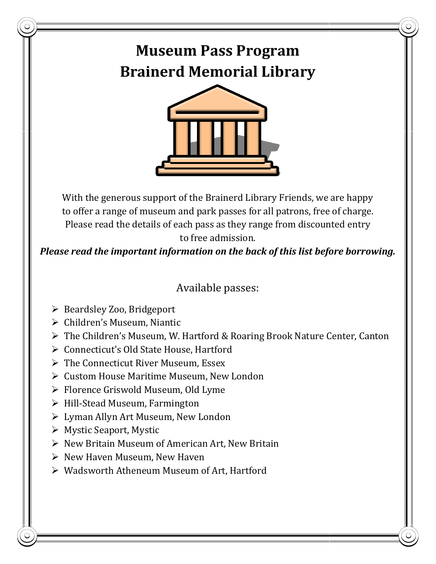## **Museum Pass Program Brainerd Memorial Library**



With the generous support of the Brainerd Library Friends, we are happy to offer a range of museum and park passes for all patrons, free of charge. Please read the details of each pass as they range from discounted entry to free admission.

*Please read the important information on the back of this list before borrowing.*

## Available passes:

- ➢ Beardsley Zoo, Bridgeport
- ➢ Children's Museum, Niantic
- ➢ The Children's Museum, W. Hartford & Roaring Brook Nature Center, Canton
- ➢ Connecticut's Old State House, Hartford
- ➢ The Connecticut River Museum, Essex
- ➢ Custom House Maritime Museum, New London
- ➢ Florence Griswold Museum, Old Lyme
- ➢ Hill-Stead Museum, Farmington
- ➢ Lyman Allyn Art Museum, New London
- ➢ Mystic Seaport, Mystic
- ➢ [New Britain Museum of American Art,](http://www.nbmaa.org/) New Britain
- ➢ New Haven Museum, New Haven
- ➢ Wadsworth Atheneum Museum of Art, Hartford